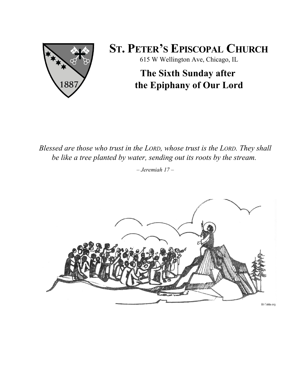

**ST. PETER'S EPISCOPAL CHURCH**

615 W Wellington Ave, Chicago, IL

# **The Sixth Sunday after the Epiphany of Our Lord**

*Blessed are those who trust in the LORD, whose trust is the LORD. They shall be like a tree planted by water, sending out its roots by the stream.* 

*– Jeremiah 17 –*

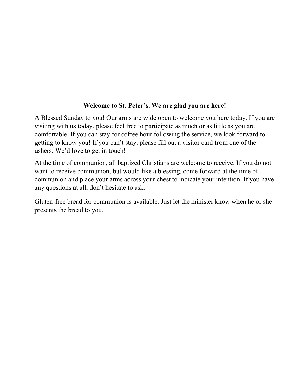#### **Welcome to St. Peter's. We are glad you are here!**

A Blessed Sunday to you! Our arms are wide open to welcome you here today. If you are visiting with us today, please feel free to participate as much or as little as you are comfortable. If you can stay for coffee hour following the service, we look forward to getting to know you! If you can't stay, please fill out a visitor card from one of the ushers. We'd love to get in touch!

At the time of communion, all baptized Christians are welcome to receive. If you do not want to receive communion, but would like a blessing, come forward at the time of communion and place your arms across your chest to indicate your intention. If you have any questions at all, don't hesitate to ask.

Gluten-free bread for communion is available. Just let the minister know when he or she presents the bread to you.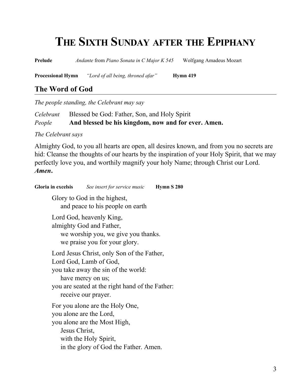# **THE SIXTH SUNDAY AFTER THE EPIPHANY**

**Prelude** *Andante* from *Piano Sonata in C Major K 545* Wolfgang Amadeus Mozart

**Processional Hymn** *"Lord of all being, throned afar"* **Hymn 419**

## **The Word of God**

*The people standing, the Celebrant may say*

*Celebrant* Blessed be God: Father, Son, and Holy Spirit *People* **And blessed be his kingdom, now and for ever. Amen.** 

#### *The Celebrant says*

Almighty God, to you all hearts are open, all desires known, and from you no secrets are hid: Cleanse the thoughts of our hearts by the inspiration of your Holy Spirit, that we may perfectly love you, and worthily magnify your holy Name; through Christ our Lord. *Amen***.**

| <b>Gloria in excelsis</b> | See insert for service music                                                                                                                                                                               | Hymn S 280 |
|---------------------------|------------------------------------------------------------------------------------------------------------------------------------------------------------------------------------------------------------|------------|
|                           | Glory to God in the highest,<br>and peace to his people on earth                                                                                                                                           |            |
|                           | Lord God, heavenly King,<br>almighty God and Father,<br>we worship you, we give you thanks.<br>we praise you for your glory.                                                                               |            |
|                           | Lord Jesus Christ, only Son of the Father,<br>Lord God, Lamb of God,<br>you take away the sin of the world:<br>have mercy on us;<br>you are seated at the right hand of the Father:<br>receive our prayer. |            |
| Jesus Christ,             | For you alone are the Holy One,<br>you alone are the Lord,<br>you alone are the Most High,<br>with the Holy Spirit,<br>in the glory of God the Father. Amen.                                               |            |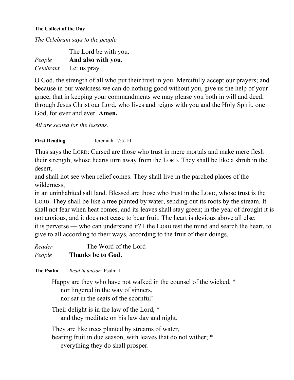#### **The Collect of the Day**

*The Celebrant says to the people*

The Lord be with you. *People* **And also with you.** *Celebrant* Let us pray.

O God, the strength of all who put their trust in you: Mercifully accept our prayers; and because in our weakness we can do nothing good without you, give us the help of your grace, that in keeping your commandments we may please you both in will and deed; through Jesus Christ our Lord, who lives and reigns with you and the Holy Spirit, one God, for ever and ever. **Amen.**

*All are seated for the lessons.*

**First Reading** Jeremiah 17:5-10

Thus says the LORD: Cursed are those who trust in mere mortals and make mere flesh their strength, whose hearts turn away from the LORD. They shall be like a shrub in the desert,

and shall not see when relief comes. They shall live in the parched places of the wilderness,

in an uninhabited salt land. Blessed are those who trust in the LORD, whose trust is the LORD. They shall be like a tree planted by water, sending out its roots by the stream. It shall not fear when heat comes, and its leaves shall stay green; in the year of drought it is not anxious, and it does not cease to bear fruit. The heart is devious above all else; it is perverse — who can understand it? I the LORD test the mind and search the heart, to give to all according to their ways, according to the fruit of their doings.

| Reader | The Word of the Lord     |
|--------|--------------------------|
| People | <b>Thanks be to God.</b> |

**The Psalm** *Read in unison.* Psalm 1

Happy are they who have not walked in the counsel of the wicked, \* nor lingered in the way of sinners, nor sat in the seats of the scornful!

Their delight is in the law of the Lord, \* and they meditate on his law day and night.

They are like trees planted by streams of water, bearing fruit in due season, with leaves that do not wither; \* everything they do shall prosper.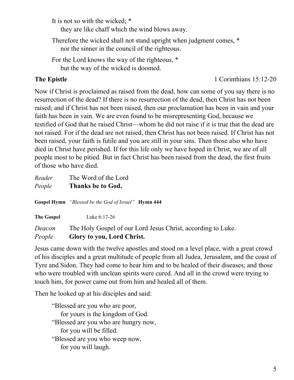It is not so with the wicked; \*

they are like chaff which the wind blows away.

Therefore the wicked shall not stand upright when judgment comes, \* nor the sinner in the council of the righteous.

For the Lord knows the way of the righteous, \* but the way of the wicked is doomed.

#### **The Epistle** 1 Corinthians 15:12-20

Now if Christ is proclaimed as raised from the dead, how can some of you say there is no resurrection of the dead? If there is no resurrection of the dead, then Christ has not been raised; and if Christ has not been raised, then our proclamation has been in vain and your faith has been in vain. We are even found to be misrepresenting God, because we testified of God that he raised Christ—whom he did not raise if it is true that the dead are not raised. For if the dead are not raised, then Christ has not been raised. If Christ has not been raised, your faith is futile and you are still in your sins. Then those also who have died in Christ have perished. If for this life only we have hoped in Christ, we are of all people most to be pitied. But in fact Christ has been raised from the dead, the first fruits of those who have died.

| Reader<br>People  | The Word of the Lord<br><b>Thanks be to God.</b>                  |
|-------------------|-------------------------------------------------------------------|
|                   | <b>Gospel Hymn</b> "Blessed be the God of Israel" <b>Hymn 444</b> |
| <b>The Gospel</b> | Luke $6:17-26$                                                    |
| Deacon            | The Holy Gospel of our Lord Jesus Christ, according to Luke.      |
| People            | Glory to you, Lord Christ.                                        |

Jesus came down with the twelve apostles and stood on a level place, with a great crowd of his disciples and a great multitude of people from all Judea, Jerusalem, and the coast of Tyre and Sidon. They had come to hear him and to be healed of their diseases; and those who were troubled with unclean spirits were cured. And all in the crowd were trying to touch him, for power came out from him and healed all of them.

Then he looked up at his disciples and said:

"Blessed are you who are poor, for yours is the kingdom of God. "Blessed are you who are hungry now, for you will be filled. "Blessed are you who weep now, for you will laugh.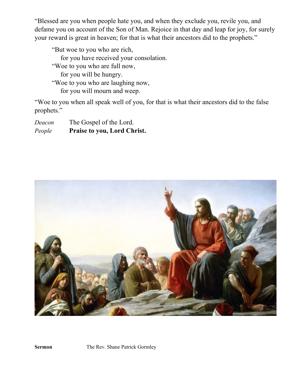"Blessed are you when people hate you, and when they exclude you, revile you, and defame you on account of the Son of Man. Rejoice in that day and leap for joy, for surely your reward is great in heaven; for that is what their ancestors did to the prophets."

"But woe to you who are rich, for you have received your consolation. "Woe to you who are full now, for you will be hungry. "Woe to you who are laughing now, for you will mourn and weep.

"Woe to you when all speak well of you, for that is what their ancestors did to the false prophets."

*Deacon* The Gospel of the Lord. *People* **Praise to you, Lord Christ.**



**Sermon** The Rev. Shane Patrick Gormley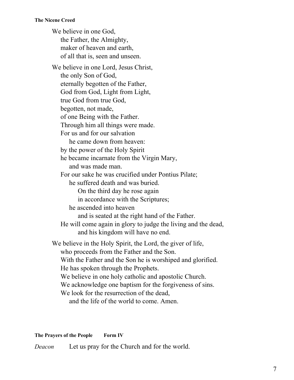We believe in one God, the Father, the Almighty, maker of heaven and earth, of all that is, seen and unseen. We believe in one Lord, Jesus Christ, the only Son of God, eternally begotten of the Father, God from God, Light from Light, true God from true God, begotten, not made, of one Being with the Father. Through him all things were made. For us and for our salvation he came down from heaven: by the power of the Holy Spirit he became incarnate from the Virgin Mary, and was made man. For our sake he was crucified under Pontius Pilate; he suffered death and was buried. On the third day he rose again in accordance with the Scriptures; he ascended into heaven and is seated at the right hand of the Father. He will come again in glory to judge the living and the dead, and his kingdom will have no end. We believe in the Holy Spirit, the Lord, the giver of life, who proceeds from the Father and the Son. With the Father and the Son he is worshiped and glorified. He has spoken through the Prophets. We believe in one holy catholic and apostolic Church. We acknowledge one baptism for the forgiveness of sins. We look for the resurrection of the dead, and the life of the world to come. Amen.

#### **The Prayers of the People Form IV**

*Deacon* Let us pray for the Church and for the world.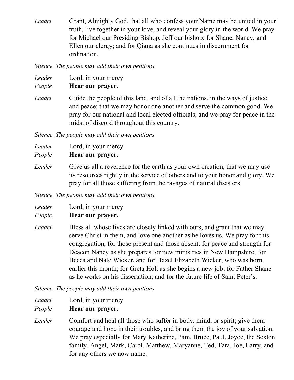*Leader* Grant, Almighty God, that all who confess your Name may be united in your truth, live together in your love, and reveal your glory in the world. We pray for Michael our Presiding Bishop, Jeff our bishop; for Shane, Nancy, and Ellen our clergy; and for Qiana as she continues in discernment for ordination.

*Silence. The people may add their own petitions.*

| Leader | Lord, in your mercy                                                                                                                                                                                                                  |
|--------|--------------------------------------------------------------------------------------------------------------------------------------------------------------------------------------------------------------------------------------|
|        | $\blacksquare$ . The contract of the contract of the contract of the contract of the contract of the contract of the contract of the contract of the contract of the contract of the contract of the contract of the contract of the |

*People* **Hear our prayer.**

*Leader* Guide the people of this land, and of all the nations, in the ways of justice and peace; that we may honor one another and serve the common good. We pray for our national and local elected officials; and we pray for peace in the midst of discord throughout this country.

*Silence. The people may add their own petitions.*

| Leader | Lord, in your mercy                                                                                                                                                                                                                  |
|--------|--------------------------------------------------------------------------------------------------------------------------------------------------------------------------------------------------------------------------------------|
|        | $\blacksquare$ . The contract of the contract of the contract of the contract of the contract of the contract of the contract of the contract of the contract of the contract of the contract of the contract of the contract of the |

*People* **Hear our prayer.**

*Leader* Give us all a reverence for the earth as your own creation, that we may use its resources rightly in the service of others and to your honor and glory. We pray for all those suffering from the ravages of natural disasters.

*Silence. The people may add their own petitions.*

| Leader | Lord, in your mercy |
|--------|---------------------|
| People | Hear our prayer.    |

*Leader* Bless all whose lives are closely linked with ours, and grant that we may serve Christ in them, and love one another as he loves us. We pray for this congregation, for those present and those absent; for peace and strength for Deacon Nancy as she prepares for new ministries in New Hampshire; for Becca and Nate Wicker, and for Hazel Elizabeth Wicker, who was born earlier this month; for Greta Holt as she begins a new job; for Father Shane as he works on his dissertation; and for the future life of Saint Peter's.

*Silence. The people may add their own petitions.*

| Leader | Lord, in your mercy |
|--------|---------------------|
| People | Hear our prayer.    |

*Leader* Comfort and heal all those who suffer in body, mind, or spirit; give them courage and hope in their troubles, and bring them the joy of your salvation. We pray especially for Mary Katherine, Pam, Bruce, Paul, Joyce, the Sexton family, Angel, Mark, Carol, Matthew, Maryanne, Ted, Tara, Joe, Larry, and for any others we now name.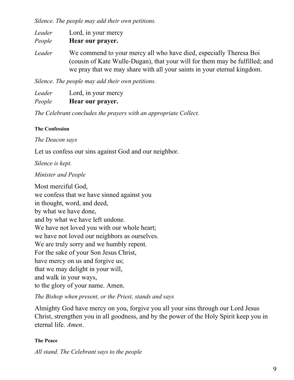*Silence. The people may add their own petitions.*

| Leader | Lord, in your mercy                                                                                                                               |
|--------|---------------------------------------------------------------------------------------------------------------------------------------------------|
| People | Hear our prayer.                                                                                                                                  |
| Leader | We commend to your mercy all who have died, especially Theresa Boi<br>(cousin of Kate Wulle-Dugan), that your will for them may be fulfilled; and |
|        | we pray that we may share with all your saints in your eternal kingdom.                                                                           |

*Silence. The people may add their own petitions.*

| Leader | Lord, in your mercy |
|--------|---------------------|
| People | Hear our prayer.    |

*The Celebrant concludes the prayers with an appropriate Collect.*

#### **The Confession**

*The Deacon says*

Let us confess our sins against God and our neighbor.

#### *Silence is kept.*

#### *Minister and People*

Most merciful God, we confess that we have sinned against you in thought, word, and deed, by what we have done, and by what we have left undone. We have not loved you with our whole heart; we have not loved our neighbors as ourselves. We are truly sorry and we humbly repent. For the sake of your Son Jesus Christ, have mercy on us and forgive us; that we may delight in your will, and walk in your ways, to the glory of your name. Amen.

#### *The Bishop when present, or the Priest, stands and says*

Almighty God have mercy on you, forgive you all your sins through our Lord Jesus Christ, strengthen you in all goodness, and by the power of the Holy Spirit keep you in eternal life. *Amen*.

#### **The Peace**

*All stand. The Celebrant says to the people*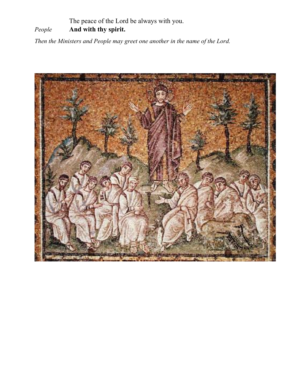# The peace of the Lord be always with you. *People* **And with thy spirit.**

*Then the Ministers and People may greet one another in the name of the Lord.*

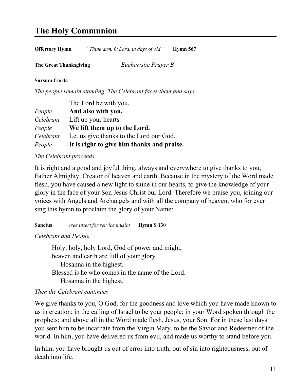# **The Holy Communion**

| <b>Offertory Hymn</b> | "Thine arm, O Lord, in days of old" | <b>Hymn 567</b> |
|-----------------------|-------------------------------------|-----------------|
|                       |                                     |                 |

**The Great Thanksgiving** *Eucharistic Prayer B*

#### **Sursum Corda**

*The people remain standing. The Celebrant faces them and says*

|           | The Lord be with you.                      |
|-----------|--------------------------------------------|
| People    | And also with you.                         |
| Celebrant | Lift up your hearts.                       |
| People    | We lift them up to the Lord.               |
| Celebrant | Let us give thanks to the Lord our God.    |
| People    | It is right to give him thanks and praise. |

#### *The Celebrant proceeds*

It is right and a good and joyful thing, always and everywhere to give thanks to you, Father Almighty, Creator of heaven and earth. Because in the mystery of the Word made flesh, you have caused a new light to shine in our hearts, to give the knowledge of your glory in the face of your Son Jesus Christ our Lord. Therefore we praise you, joining our voices with Angels and Archangels and with all the company of heaven, who for ever sing this hymn to proclaim the glory of your Name:

**Sanctus** *(see insert for service music)* **Hymn S 130**

#### *Celebrant and People*

Holy, holy, holy Lord, God of power and might, heaven and earth are full of your glory. Hosanna in the highest. Blessed is he who comes in the name of the Lord. Hosanna in the highest.

#### *Then the Celebrant continues*

We give thanks to you, O God, for the goodness and love which you have made known to us in creation; in the calling of Israel to be your people; in your Word spoken through the prophets; and above all in the Word made flesh, Jesus, your Son. For in these last days you sent him to be incarnate from the Virgin Mary, to be the Savior and Redeemer of the world. In him, you have delivered us from evil, and made us worthy to stand before you.

In him, you have brought us out of error into truth, out of sin into righteousness, out of death into life.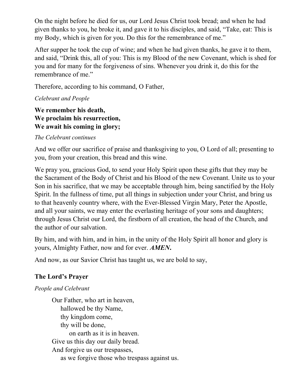On the night before he died for us, our Lord Jesus Christ took bread; and when he had given thanks to you, he broke it, and gave it to his disciples, and said, "Take, eat: This is my Body, which is given for you. Do this for the remembrance of me."

After supper he took the cup of wine; and when he had given thanks, he gave it to them, and said, "Drink this, all of you: This is my Blood of the new Covenant, which is shed for you and for many for the forgiveness of sins. Whenever you drink it, do this for the remembrance of me."

Therefore, according to his command, O Father,

*Celebrant and People*

### **We remember his death, We proclaim his resurrection, We await his coming in glory;**

#### *The Celebrant continues*

And we offer our sacrifice of praise and thanksgiving to you, O Lord of all; presenting to you, from your creation, this bread and this wine.

We pray you, gracious God, to send your Holy Spirit upon these gifts that they may be the Sacrament of the Body of Christ and his Blood of the new Covenant. Unite us to your Son in his sacrifice, that we may be acceptable through him, being sanctified by the Holy Spirit. In the fullness of time, put all things in subjection under your Christ, and bring us to that heavenly country where, with the Ever-Blessed Virgin Mary, Peter the Apostle, and all your saints, we may enter the everlasting heritage of your sons and daughters; through Jesus Christ our Lord, the firstborn of all creation, the head of the Church, and the author of our salvation.

By him, and with him, and in him, in the unity of the Holy Spirit all honor and glory is yours, Almighty Father, now and for ever. *AMEN***.**

And now, as our Savior Christ has taught us, we are bold to say,

## **The Lord's Prayer**

### *People and Celebrant*

Our Father, who art in heaven, hallowed be thy Name, thy kingdom come, thy will be done, on earth as it is in heaven. Give us this day our daily bread. And forgive us our trespasses, as we forgive those who trespass against us.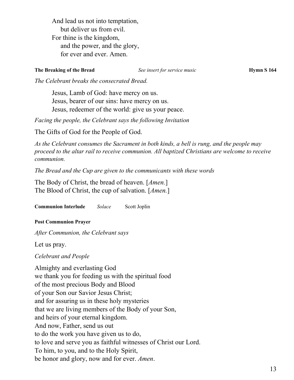And lead us not into temptation, but deliver us from evil. For thine is the kingdom, and the power, and the glory, for ever and ever. Amen.

**The Breaking of the Bread** *See insert for service music* **Hymn S 164**

*The Celebrant breaks the consecrated Bread.*

Jesus, Lamb of God: have mercy on us. Jesus, bearer of our sins: have mercy on us. Jesus, redeemer of the world: give us your peace.

*Facing the people, the Celebrant says the following Invitation*

The Gifts of God for the People of God.

*As the Celebrant consumes the Sacrament in both kinds, a bell is rung, and the people may proceed to the altar rail to receive communion. All baptized Christians are welcome to receive communion.* 

*The Bread and the Cup are given to the communicants with these words*

The Body of Christ, the bread of heaven. [*Amen.*] The Blood of Christ, the cup of salvation. [*Amen.*]

**Communion Interlude** *Solace* **Scott Joplin** 

**Post Communion Prayer**

*After Communion, the Celebrant says*

Let us pray.

#### *Celebrant and People*

Almighty and everlasting God we thank you for feeding us with the spiritual food of the most precious Body and Blood of your Son our Savior Jesus Christ; and for assuring us in these holy mysteries that we are living members of the Body of your Son, and heirs of your eternal kingdom. And now, Father, send us out to do the work you have given us to do, to love and serve you as faithful witnesses of Christ our Lord. To him, to you, and to the Holy Spirit, be honor and glory, now and for ever. *Amen*.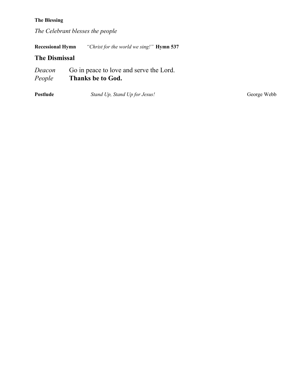#### **The Blessing**

*The Celebrant blesses the people*

**Recessional Hymn** *"Christ for the world we sing!"* **Hymn 537**

#### **The Dismissal**

| Deacon | Go in peace to love and serve the Lord. |
|--------|-----------------------------------------|
| People | Thanks be to God.                       |

Postlude *Stand Up, Stand Up for Jesus!* George Webb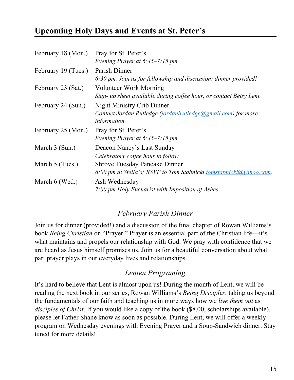# **Upcoming Holy Days and Events at St. Peter's**

| February 18 (Mon.)  | Pray for St. Peter's                                                                         |
|---------------------|----------------------------------------------------------------------------------------------|
|                     | Evening Prayer at 6:45-7:15 pm                                                               |
| February 19 (Tues.) | Parish Dinner                                                                                |
|                     | 6:30 pm. Join us for fellowship and discussion; dinner provided!                             |
| February 23 (Sat.)  | <b>Volunteer Work Morning</b>                                                                |
|                     | Sign- up sheet available during coffee hour, or contact Betsy Lent.                          |
| February 24 (Sun.)  | Night Ministry Crib Dinner                                                                   |
|                     | Contact Jordan Rutledge ( <i>jordanlrutledge@gmail.com</i> ) for more<br><i>information.</i> |
| February 25 (Mon.)  | Pray for St. Peter's                                                                         |
|                     | Evening Prayer at 6:45-7:15 pm                                                               |
| March $3$ (Sun.)    | Deacon Nancy's Last Sunday                                                                   |
|                     | Celebratory coffee hour to follow.                                                           |
| March 5 (Tues.)     | <b>Shrove Tuesday Pancake Dinner</b>                                                         |
|                     | 6:00 pm at Stella's; RSVP to Tom Stabnicki tomstabnicki@yahoo.com.                           |
| March 6 (Wed.)      | Ash Wednesday                                                                                |
|                     | 7:00 pm Holy Eucharist with Imposition of Ashes                                              |

### *February Parish Dinner*

Join us for dinner (provided!) and a discussion of the final chapter of Rowan Williams's book *Being Christian* on "Prayer." Prayer is an essential part of the Christian life—it's what maintains and propels our relationship with God. We pray with confidence that we are heard as Jesus himself promises us. Join us for a beautiful conversation about what part prayer plays in our everyday lives and relationships.

#### *Lenten Programing*

It's hard to believe that Lent is almost upon us! During the month of Lent, we will be reading the next book in our series, Rowan Williams's *Being Disciples*, taking us beyond the fundamentals of our faith and teaching us in more ways how we *live them out* as *disciples of Christ*. If you would like a copy of the book (\$8.00, scholarships available), please let Father Shane know as soon as possible. During Lent, we will offer a weekly program on Wednesday evenings with Evening Prayer and a Soup-Sandwich dinner. Stay tuned for more details!